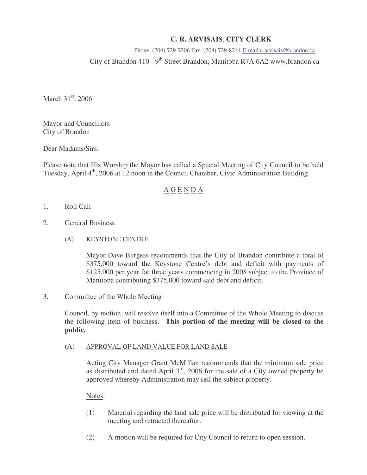## **C. R. ARVISAIS**, **CITY CLERK**

# Phone: (204) 729-2206 Fax: (204) 729-8244 E-mail:c.arvisais@brandon.ca City of Brandon 410 -  $9<sup>th</sup>$  Street Brandon, Manitoba R7A 6A2 www.brandon.ca

March  $31<sup>st</sup>$ , 2006

Mayor and Councillors City of Brandon

Dear Madams/Sirs:

Please note that His Worship the Mayor has called a Special Meeting of City Council to be held Tuesday, April 4<sup>th</sup>, 2006 at 12 noon in the Council Chamber, Civic Administration Building.

### A G E N D A

- 1. Roll Call
- 2. General Business
	- (A) KEYSTONE CENTRE

 Mayor Dave Burgess recommends that the City of Brandon contribute a total of \$375,000 toward the Keystone Centre's debt and deficit with payments of \$125,000 per year for three years commencing in 2008 subject to the Province of Manitoba contributing \$375,000 toward said debt and deficit.

### 3. Committee of the Whole Meeting

Council, by motion, will resolve itself into a Committee of the Whole Meeting to discuss the following item of business. **This portion of the meeting will be closed to the public.** 

#### (A) APPROVAL OF LAND VALUE FOR LAND SALE

Acting City Manager Grant McMillan recommends that the minimum sale price as distributed and dated April  $3<sup>rd</sup>$ , 2006 for the sale of a City owned property be approved whereby Administration may sell the subject property.

Notes:

- (1) Material regarding the land sale price will be distributed for viewing at the meeting and retracted thereafter.
- (2) A motion will be required for City Council to return to open session.